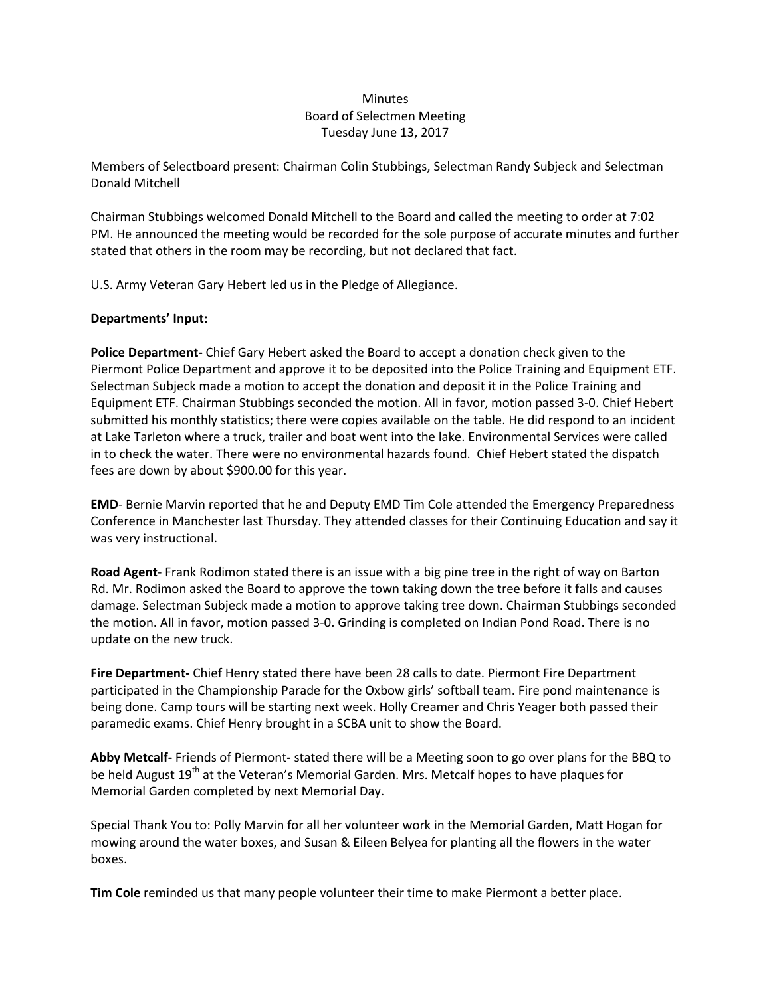## **Minutes** Board of Selectmen Meeting Tuesday June 13, 2017

Members of Selectboard present: Chairman Colin Stubbings, Selectman Randy Subjeck and Selectman Donald Mitchell

Chairman Stubbings welcomed Donald Mitchell to the Board and called the meeting to order at 7:02 PM. He announced the meeting would be recorded for the sole purpose of accurate minutes and further stated that others in the room may be recording, but not declared that fact.

U.S. Army Veteran Gary Hebert led us in the Pledge of Allegiance.

## **Departments' Input:**

**Police Department-** Chief Gary Hebert asked the Board to accept a donation check given to the Piermont Police Department and approve it to be deposited into the Police Training and Equipment ETF. Selectman Subjeck made a motion to accept the donation and deposit it in the Police Training and Equipment ETF. Chairman Stubbings seconded the motion. All in favor, motion passed 3-0. Chief Hebert submitted his monthly statistics; there were copies available on the table. He did respond to an incident at Lake Tarleton where a truck, trailer and boat went into the lake. Environmental Services were called in to check the water. There were no environmental hazards found. Chief Hebert stated the dispatch fees are down by about \$900.00 for this year.

**EMD**- Bernie Marvin reported that he and Deputy EMD Tim Cole attended the Emergency Preparedness Conference in Manchester last Thursday. They attended classes for their Continuing Education and say it was very instructional.

**Road Agent**- Frank Rodimon stated there is an issue with a big pine tree in the right of way on Barton Rd. Mr. Rodimon asked the Board to approve the town taking down the tree before it falls and causes damage. Selectman Subjeck made a motion to approve taking tree down. Chairman Stubbings seconded the motion. All in favor, motion passed 3-0. Grinding is completed on Indian Pond Road. There is no update on the new truck.

**Fire Department-** Chief Henry stated there have been 28 calls to date. Piermont Fire Department participated in the Championship Parade for the Oxbow girls' softball team. Fire pond maintenance is being done. Camp tours will be starting next week. Holly Creamer and Chris Yeager both passed their paramedic exams. Chief Henry brought in a SCBA unit to show the Board.

**Abby Metcalf-** Friends of Piermont**-** stated there will be a Meeting soon to go over plans for the BBQ to be held August 19<sup>th</sup> at the Veteran's Memorial Garden. Mrs. Metcalf hopes to have plaques for Memorial Garden completed by next Memorial Day.

Special Thank You to: Polly Marvin for all her volunteer work in the Memorial Garden, Matt Hogan for mowing around the water boxes, and Susan & Eileen Belyea for planting all the flowers in the water boxes.

**Tim Cole** reminded us that many people volunteer their time to make Piermont a better place.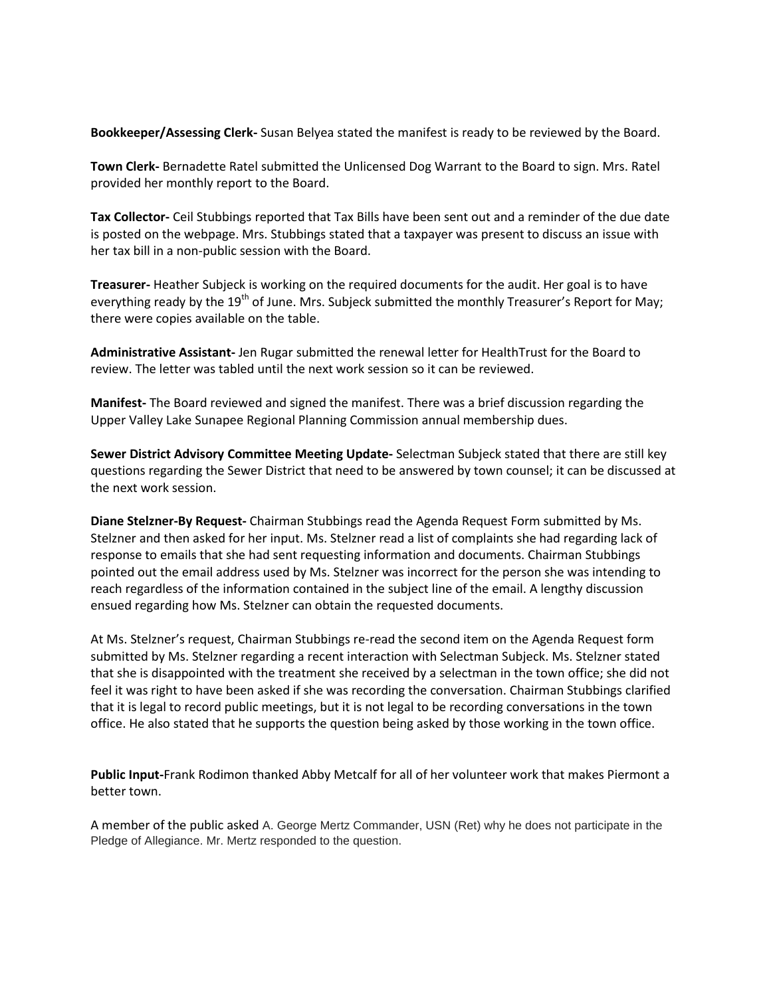**Bookkeeper/Assessing Clerk-** Susan Belyea stated the manifest is ready to be reviewed by the Board.

**Town Clerk-** Bernadette Ratel submitted the Unlicensed Dog Warrant to the Board to sign. Mrs. Ratel provided her monthly report to the Board.

**Tax Collector-** Ceil Stubbings reported that Tax Bills have been sent out and a reminder of the due date is posted on the webpage. Mrs. Stubbings stated that a taxpayer was present to discuss an issue with her tax bill in a non-public session with the Board.

**Treasurer-** Heather Subjeck is working on the required documents for the audit. Her goal is to have everything ready by the 19<sup>th</sup> of June. Mrs. Subjeck submitted the monthly Treasurer's Report for May; there were copies available on the table.

**Administrative Assistant-** Jen Rugar submitted the renewal letter for HealthTrust for the Board to review. The letter was tabled until the next work session so it can be reviewed.

**Manifest-** The Board reviewed and signed the manifest. There was a brief discussion regarding the Upper Valley Lake Sunapee Regional Planning Commission annual membership dues.

**Sewer District Advisory Committee Meeting Update-** Selectman Subjeck stated that there are still key questions regarding the Sewer District that need to be answered by town counsel; it can be discussed at the next work session.

**Diane Stelzner-By Request-** Chairman Stubbings read the Agenda Request Form submitted by Ms. Stelzner and then asked for her input. Ms. Stelzner read a list of complaints she had regarding lack of response to emails that she had sent requesting information and documents. Chairman Stubbings pointed out the email address used by Ms. Stelzner was incorrect for the person she was intending to reach regardless of the information contained in the subject line of the email. A lengthy discussion ensued regarding how Ms. Stelzner can obtain the requested documents.

At Ms. Stelzner's request, Chairman Stubbings re-read the second item on the Agenda Request form submitted by Ms. Stelzner regarding a recent interaction with Selectman Subjeck. Ms. Stelzner stated that she is disappointed with the treatment she received by a selectman in the town office; she did not feel it was right to have been asked if she was recording the conversation. Chairman Stubbings clarified that it is legal to record public meetings, but it is not legal to be recording conversations in the town office. He also stated that he supports the question being asked by those working in the town office.

**Public Input-**Frank Rodimon thanked Abby Metcalf for all of her volunteer work that makes Piermont a better town.

A member of the public asked A. George Mertz Commander, USN (Ret) why he does not participate in the Pledge of Allegiance. Mr. Mertz responded to the question.